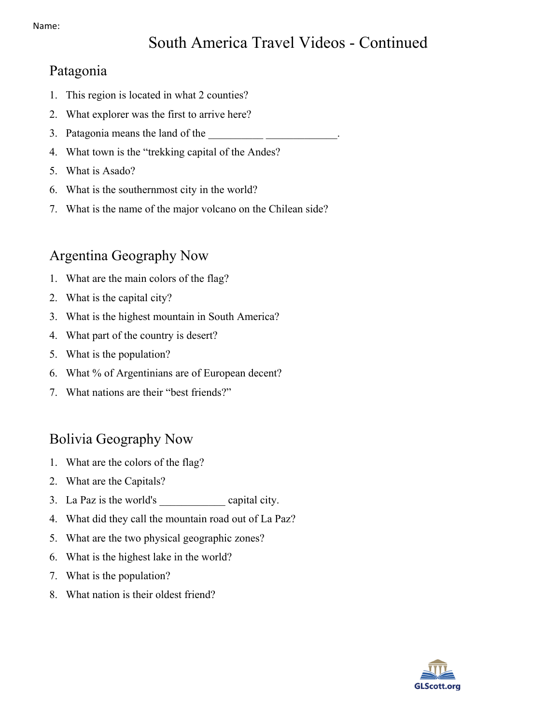# South America Travel Videos - Continued

#### Patagonia

- 1. This region is located in what 2 counties?
- 2. What explorer was the first to arrive here?
- 3. Patagonia means the land of the
- 4. What town is the "trekking capital of the Andes?
- 5. What is Asado?
- 6. What is the southernmost city in the world?
- 7. What is the name of the major volcano on the Chilean side?

#### Argentina Geography Now

- 1. What are the main colors of the flag?
- 2. What is the capital city?
- 3. What is the highest mountain in South America?
- 4. What part of the country is desert?
- 5. What is the population?
- 6. What % of Argentinians are of European decent?
- 7. What nations are their "best friends?"

### Bolivia Geography Now

- 1. What are the colors of the flag?
- 2. What are the Capitals?
- 3. La Paz is the world's capital city.
- 4. What did they call the mountain road out of La Paz?
- 5. What are the two physical geographic zones?
- 6. What is the highest lake in the world?
- 7. What is the population?
- 8. What nation is their oldest friend?